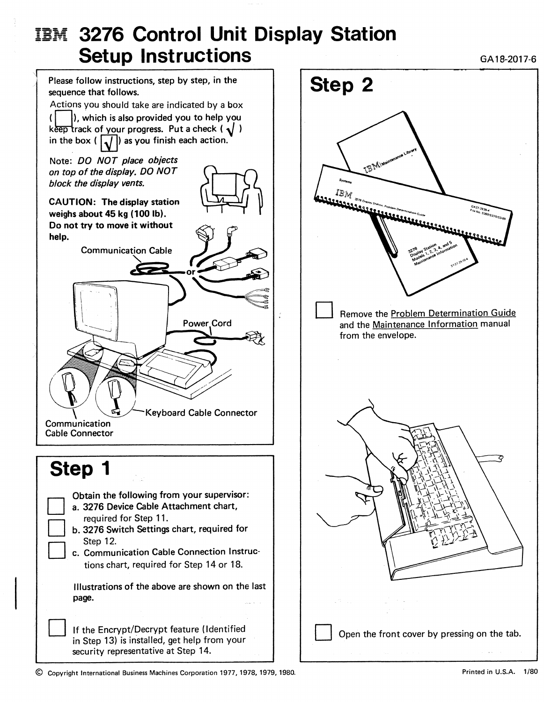## **IBM 3276 Control Unit Display Station** Setup Instructions **Setup Instructions**



IBM Remove the Problem Determination Guide and the Maintenance Information manual from the envelope. Open the front cover by pressing on the tab.

© Copyright International Business Machines Corporation 1977, 1978, 1979, 1980.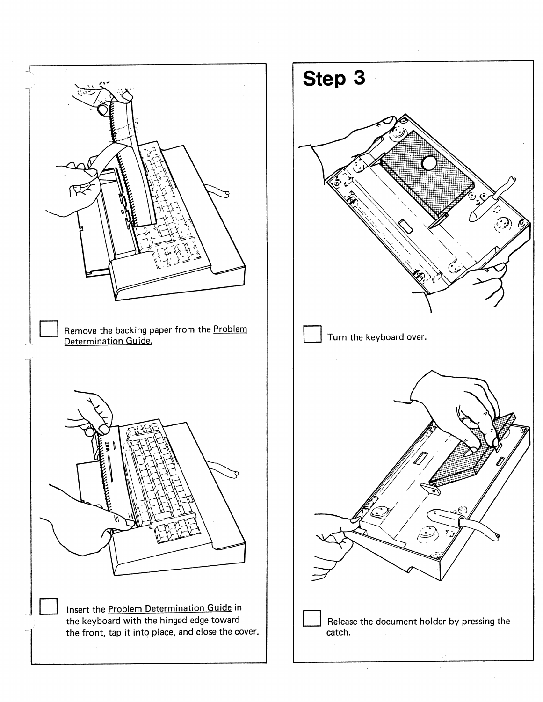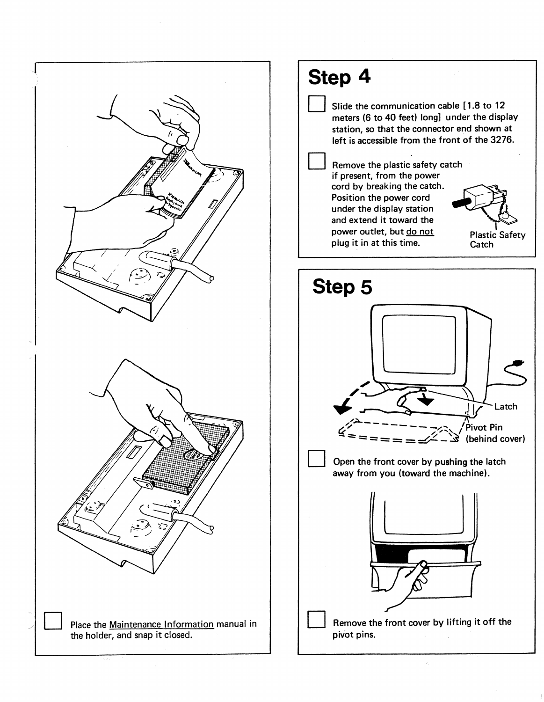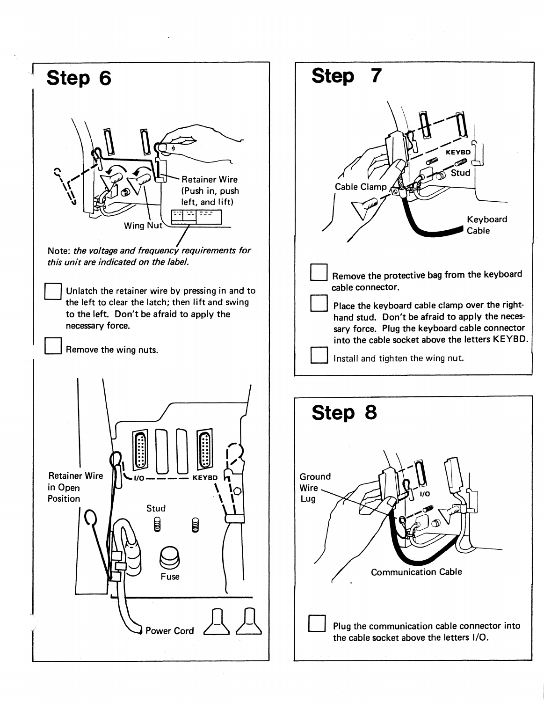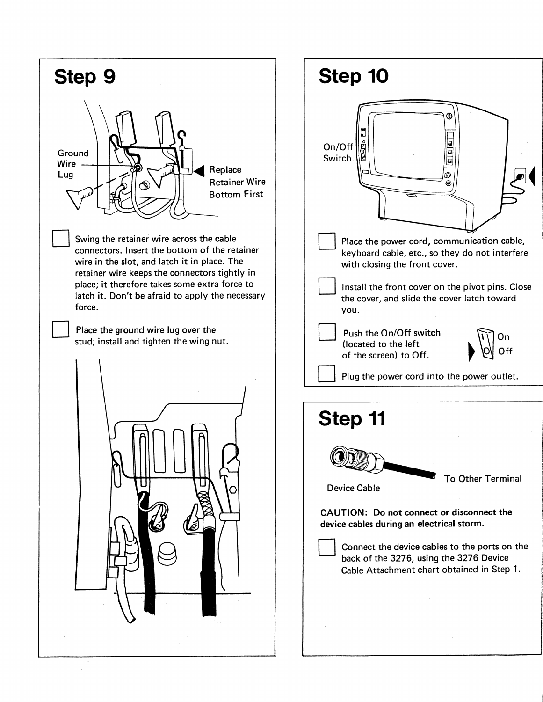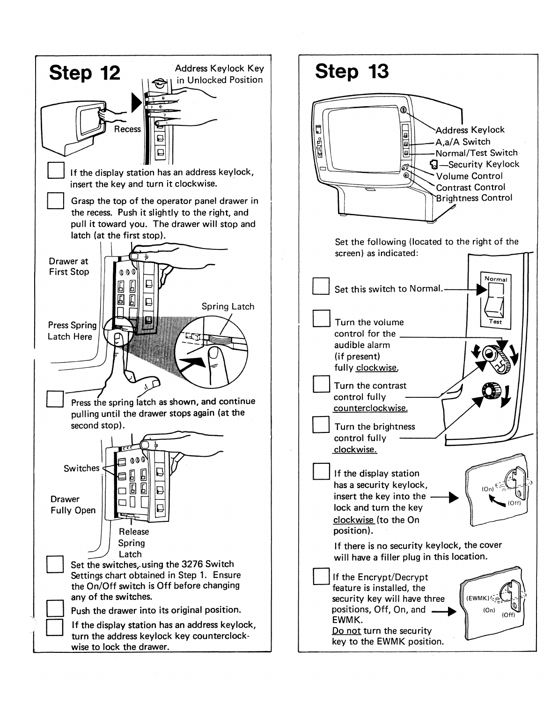

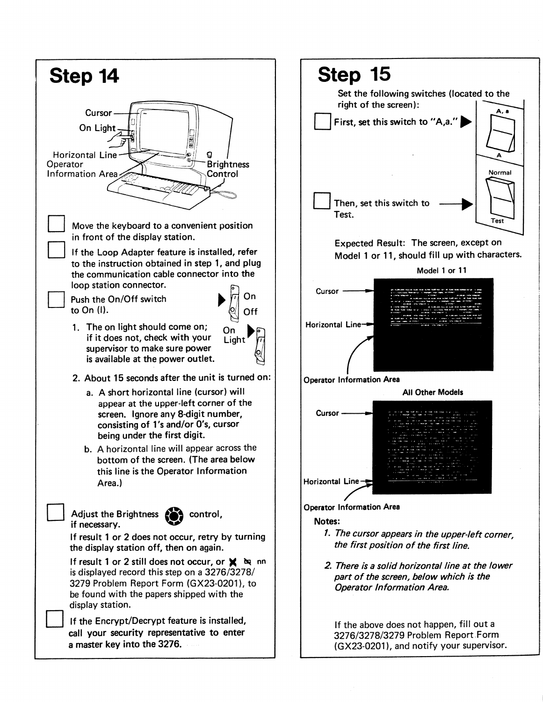

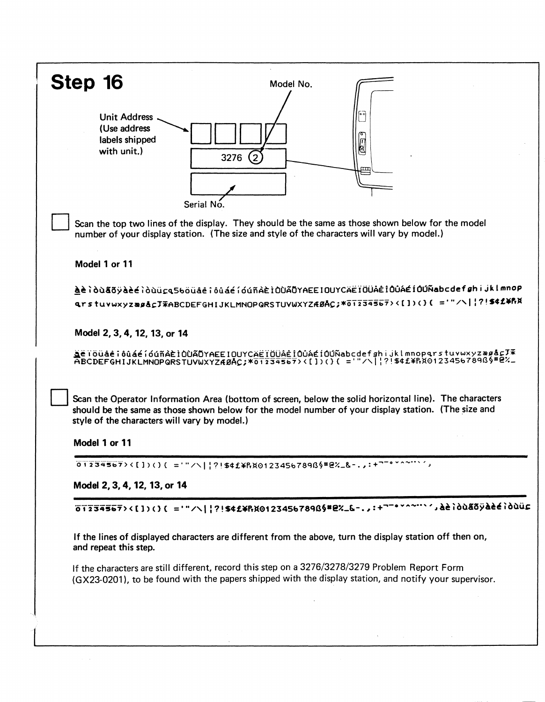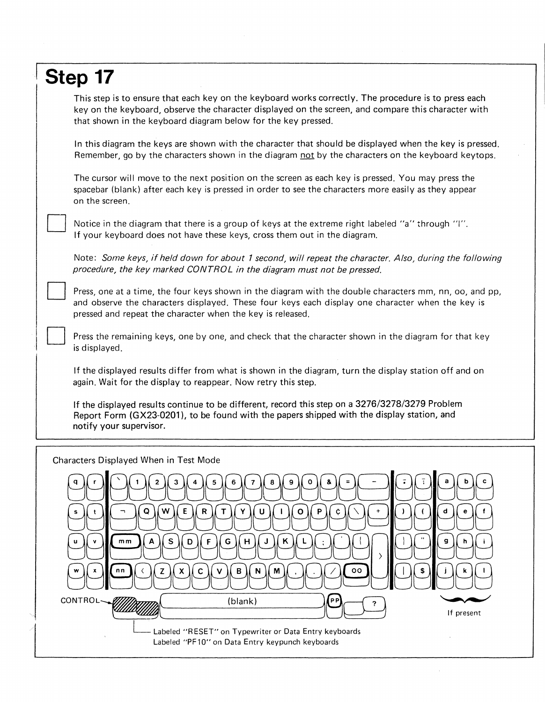## **Step 17**

D

D

This step is to ensure that each key on the keyboard works correctly. The procedure is to press each key on the keyboard, observe the character displayed on the screen, and compare this character with that shown in the keyboard diagram below for the key pressed.

In this diagram the keys are shown with the character that should be displayed when the key is pressed. Remember, go by the characters shown in the diagram not by the characters on the keyboard keytops.

The cursor will move to the next position on the screen as each key is pressed. You may press the spacebar (blank) after each key is pressed in order to see the characters more easily as they appear on the screen.

Notice in the diagram that there is a group of keys at the extreme right labeled "a" through "I". If your keyboard does not have these keys, cross them out in the diagram.

Note: Some keys, if held down for about 1 second, will repeat the character. Also, during the following procedure, the key marked CONTROL in the diagram must not be pressed.

Press, one at a time, the four keys shown in the diagram with the double characters mm, nn, oo, and pp, and observe the characters displayed. These four keys each display one character when the key is pressed and repeat the character when the key is released.

D Press the remaining keys, one by one, and check that the character shown in the diagram for that key is displayed.

If the displayed results differ from what is shown in the diagram, turn the display station off and on again. Wait for the display to reappear. Now retry this step.

If the displayed results continue to be different, record this step on a 3276/3278/3279 Problem Report Form (GX23-0201), to be found with the papers shipped with the display station, and notify your supervisor.

Characters Displayed When in Test Mode

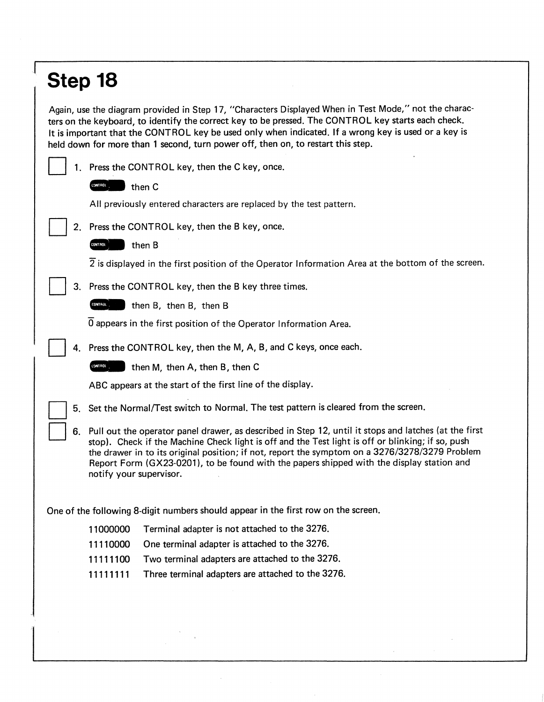## **Step 18**

Again, use the diagram provided in Step 17, "Characters Displayed When in Test Mode," not the characters on the keyboard, to identify the correct key to be pressed. The CONTROL key starts each check. It is important that the CONTROL key be used only when indicated. If a wrong key is used or a key is held down for more than 1 second, turn power off, then on, to restart this step.

|                                                                                    | 1. Press the CONTROL key, then the C key, once.<br><b>CONTROL</b><br>then C                                                                                                                                                                                                                                                                                                                                                             |                                                                                                                 |
|------------------------------------------------------------------------------------|-----------------------------------------------------------------------------------------------------------------------------------------------------------------------------------------------------------------------------------------------------------------------------------------------------------------------------------------------------------------------------------------------------------------------------------------|-----------------------------------------------------------------------------------------------------------------|
|                                                                                    |                                                                                                                                                                                                                                                                                                                                                                                                                                         |                                                                                                                 |
|                                                                                    |                                                                                                                                                                                                                                                                                                                                                                                                                                         |                                                                                                                 |
|                                                                                    | All previously entered characters are replaced by the test pattern.                                                                                                                                                                                                                                                                                                                                                                     |                                                                                                                 |
| 2. Press the CONTROL key, then the B key, once.                                    |                                                                                                                                                                                                                                                                                                                                                                                                                                         |                                                                                                                 |
|                                                                                    | then B<br>CONT ROL                                                                                                                                                                                                                                                                                                                                                                                                                      |                                                                                                                 |
|                                                                                    |                                                                                                                                                                                                                                                                                                                                                                                                                                         | $\overline{2}$ is displayed in the first position of the Operator Information Area at the bottom of the screen. |
|                                                                                    | 3. Press the CONTROL key, then the B key three times.                                                                                                                                                                                                                                                                                                                                                                                   |                                                                                                                 |
|                                                                                    | CONTROL<br>then B, then B, then B                                                                                                                                                                                                                                                                                                                                                                                                       |                                                                                                                 |
|                                                                                    | $\overline{0}$ appears in the first position of the Operator Information Area.                                                                                                                                                                                                                                                                                                                                                          |                                                                                                                 |
|                                                                                    | 4. Press the CONTROL key, then the M, A, B, and C keys, once each.                                                                                                                                                                                                                                                                                                                                                                      |                                                                                                                 |
|                                                                                    | CONTROL<br>then M, then A, then B, then C                                                                                                                                                                                                                                                                                                                                                                                               |                                                                                                                 |
|                                                                                    | ABC appears at the start of the first line of the display.                                                                                                                                                                                                                                                                                                                                                                              |                                                                                                                 |
|                                                                                    | 5. Set the Normal/Test switch to Normal. The test pattern is cleared from the screen.                                                                                                                                                                                                                                                                                                                                                   |                                                                                                                 |
|                                                                                    | 6. Pull out the operator panel drawer, as described in Step 12, until it stops and latches (at the first<br>stop). Check if the Machine Check light is off and the Test light is off or blinking; if so, push<br>the drawer in to its original position; if not, report the symptom on a 3276/3278/3279 Problem<br>Report Form (GX23-0201), to be found with the papers shipped with the display station and<br>notify your supervisor. |                                                                                                                 |
| One of the following 8-digit numbers should appear in the first row on the screen. |                                                                                                                                                                                                                                                                                                                                                                                                                                         |                                                                                                                 |
|                                                                                    | Terminal adapter is not attached to the 3276.<br>11000000                                                                                                                                                                                                                                                                                                                                                                               |                                                                                                                 |
|                                                                                    | One terminal adapter is attached to the 3276.<br>11110000                                                                                                                                                                                                                                                                                                                                                                               |                                                                                                                 |
|                                                                                    | Two terminal adapters are attached to the 3276.<br>11111100                                                                                                                                                                                                                                                                                                                                                                             |                                                                                                                 |
|                                                                                    | Three terminal adapters are attached to the 3276.<br>11111111                                                                                                                                                                                                                                                                                                                                                                           |                                                                                                                 |
|                                                                                    |                                                                                                                                                                                                                                                                                                                                                                                                                                         |                                                                                                                 |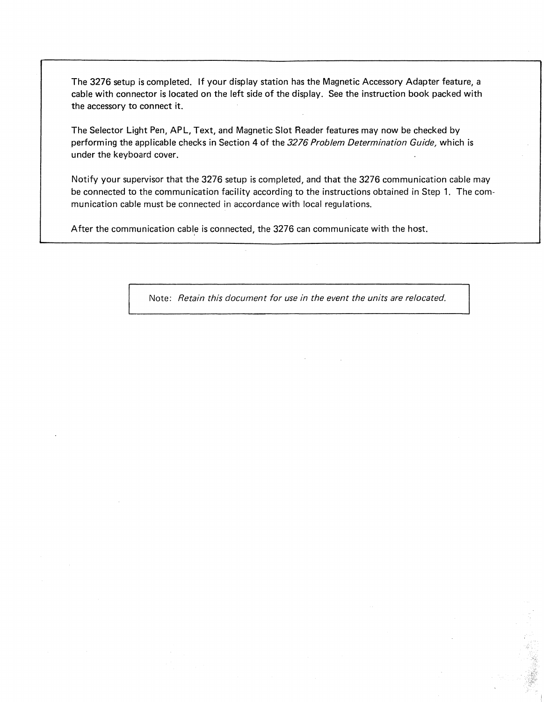The 3276 setup is completed. If your display station has the Magnetic Accessory Adapter feature, a cable with connector is located on the left side of the display. See the instruction book packed with the accessory to connect it.

The Selector Light Pen, APL, Text, and Magnetic Slot Reader features may now be checked by performing the applicable checks in Section 4 of the *3276 Problem Determination Guide,* which is under the keyboard cover.

Notify your supervisor that the 3276 setup is completed, and that the 3276 communication cable may be connected to the communication facility according to the instructions obtained in Step 1. The communication cable must be connected in accordance with local regulations.

After the communication cable is connected, the 3276 can communicate with the host.

Note: *Retain this document for use in the event the units are relocated.*